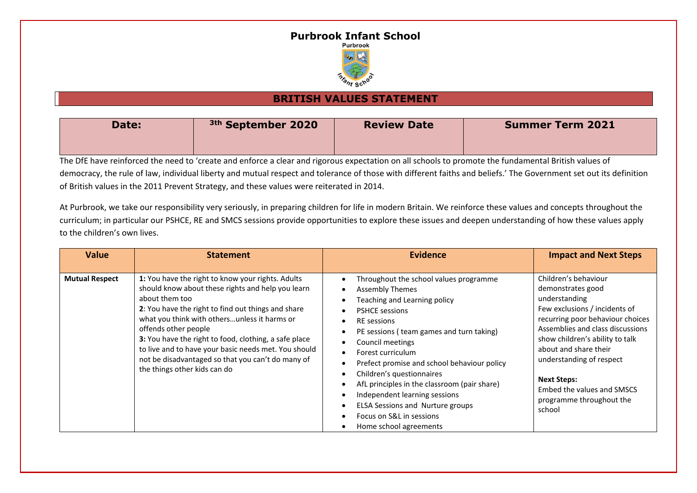## **Purbrook Infant School**



## **BRITISH VALUES STATEMENT**

| Date: | <sup>3th</sup> September 2020 | <b>Review Date</b> | <b>Summer Term 2021</b> |
|-------|-------------------------------|--------------------|-------------------------|
|       |                               |                    |                         |

The DfE have reinforced the need to 'create and enforce a clear and rigorous expectation on all schools to promote the fundamental British values of democracy, the rule of law, individual liberty and mutual respect and tolerance of those with different faiths and beliefs.' The Government set out its definition of British values in the 2011 Prevent Strategy, and these values were reiterated in 2014.

At Purbrook, we take our responsibility very seriously, in preparing children for life in modern Britain. We reinforce these values and concepts throughout the curriculum; in particular our PSHCE, RE and SMCS sessions provide opportunities to explore these issues and deepen understanding of how these values apply to the children's own lives.

| <b>Value</b>          | <b>Statement</b>                                                                                                                                                                                                                                                                                                                                                                                                                                             | <b>Evidence</b>                                                                                                                                                                                                                                                                                                                                                                                                                                                                                                                                                                                          | <b>Impact and Next Steps</b>                                                                                                                                                                                                                                                                                                                          |
|-----------------------|--------------------------------------------------------------------------------------------------------------------------------------------------------------------------------------------------------------------------------------------------------------------------------------------------------------------------------------------------------------------------------------------------------------------------------------------------------------|----------------------------------------------------------------------------------------------------------------------------------------------------------------------------------------------------------------------------------------------------------------------------------------------------------------------------------------------------------------------------------------------------------------------------------------------------------------------------------------------------------------------------------------------------------------------------------------------------------|-------------------------------------------------------------------------------------------------------------------------------------------------------------------------------------------------------------------------------------------------------------------------------------------------------------------------------------------------------|
| <b>Mutual Respect</b> | 1: You have the right to know your rights. Adults<br>should know about these rights and help you learn<br>about them too<br>2: You have the right to find out things and share<br>what you think with othersunless it harms or<br>offends other people<br>3: You have the right to food, clothing, a safe place<br>to live and to have your basic needs met. You should<br>not be disadvantaged so that you can't do many of<br>the things other kids can do | Throughout the school values programme<br><b>Assembly Themes</b><br>$\bullet$<br>Teaching and Learning policy<br><b>PSHCE sessions</b><br>$\bullet$<br><b>RE</b> sessions<br>$\bullet$<br>PE sessions (team games and turn taking)<br>$\bullet$<br>Council meetings<br>Forest curriculum<br>$\bullet$<br>Prefect promise and school behaviour policy<br>$\bullet$<br>Children's questionnaires<br>٠<br>AfL principles in the classroom (pair share)<br>Independent learning sessions<br>$\bullet$<br>ELSA Sessions and Nurture groups<br>$\bullet$<br>Focus on S&L in sessions<br>Home school agreements | Children's behaviour<br>demonstrates good<br>understanding<br>Few exclusions / incidents of<br>recurring poor behaviour choices<br>Assemblies and class discussions<br>show children's ability to talk<br>about and share their<br>understanding of respect<br><b>Next Steps:</b><br>Embed the values and SMSCS<br>programme throughout the<br>school |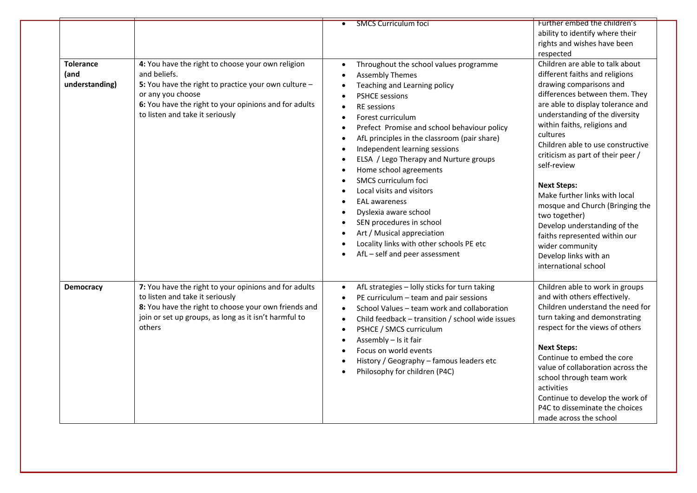|                                            |                                                                                                                                                                                                                                            | <b>SMCS Curriculum foci</b>                                                                                                                                                                                                                                                                                                                                                                                                                                                                                                                                                                                                  | Further embed the children's<br>ability to identify where their<br>rights and wishes have been<br>respected                                                                                                                                                                                                                                                                                                                                                                                                                                                                                |
|--------------------------------------------|--------------------------------------------------------------------------------------------------------------------------------------------------------------------------------------------------------------------------------------------|------------------------------------------------------------------------------------------------------------------------------------------------------------------------------------------------------------------------------------------------------------------------------------------------------------------------------------------------------------------------------------------------------------------------------------------------------------------------------------------------------------------------------------------------------------------------------------------------------------------------------|--------------------------------------------------------------------------------------------------------------------------------------------------------------------------------------------------------------------------------------------------------------------------------------------------------------------------------------------------------------------------------------------------------------------------------------------------------------------------------------------------------------------------------------------------------------------------------------------|
| <b>Tolerance</b><br>(and<br>understanding) | 4: You have the right to choose your own religion<br>and beliefs.<br>5: You have the right to practice your own culture -<br>or any you choose<br>6: You have the right to your opinions and for adults<br>to listen and take it seriously | Throughout the school values programme<br><b>Assembly Themes</b><br>Teaching and Learning policy<br><b>PSHCE sessions</b><br>RE sessions<br>Forest curriculum<br>Prefect Promise and school behaviour policy<br>AfL principles in the classroom (pair share)<br>Independent learning sessions<br>ELSA / Lego Therapy and Nurture groups<br>Home school agreements<br>SMCS curriculum foci<br>Local visits and visitors<br><b>EAL awareness</b><br>$\bullet$<br>Dyslexia aware school<br>SEN procedures in school<br>Art / Musical appreciation<br>Locality links with other schools PE etc<br>AfL - self and peer assessment | Children are able to talk about<br>different faiths and religions<br>drawing comparisons and<br>differences between them. They<br>are able to display tolerance and<br>understanding of the diversity<br>within faiths, religions and<br>cultures<br>Children able to use constructive<br>criticism as part of their peer /<br>self-review<br><b>Next Steps:</b><br>Make further links with local<br>mosque and Church (Bringing the<br>two together)<br>Develop understanding of the<br>faiths represented within our<br>wider community<br>Develop links with an<br>international school |
| Democracy                                  | 7: You have the right to your opinions and for adults<br>to listen and take it seriously<br>8: You have the right to choose your own friends and<br>join or set up groups, as long as it isn't harmful to<br>others                        | AfL strategies - lolly sticks for turn taking<br>$\bullet$<br>PE curriculum - team and pair sessions<br>$\bullet$<br>School Values - team work and collaboration<br>$\bullet$<br>Child feedback - transition / school wide issues<br>$\bullet$<br>PSHCE / SMCS curriculum<br>$\bullet$<br>Assembly - Is it fair<br>Focus on world events<br>History / Geography - famous leaders etc<br>Philosophy for children (P4C)                                                                                                                                                                                                        | Children able to work in groups<br>and with others effectively.<br>Children understand the need for<br>turn taking and demonstrating<br>respect for the views of others<br><b>Next Steps:</b><br>Continue to embed the core<br>value of collaboration across the<br>school through team work<br>activities<br>Continue to develop the work of<br>P4C to disseminate the choices<br>made across the school                                                                                                                                                                                  |